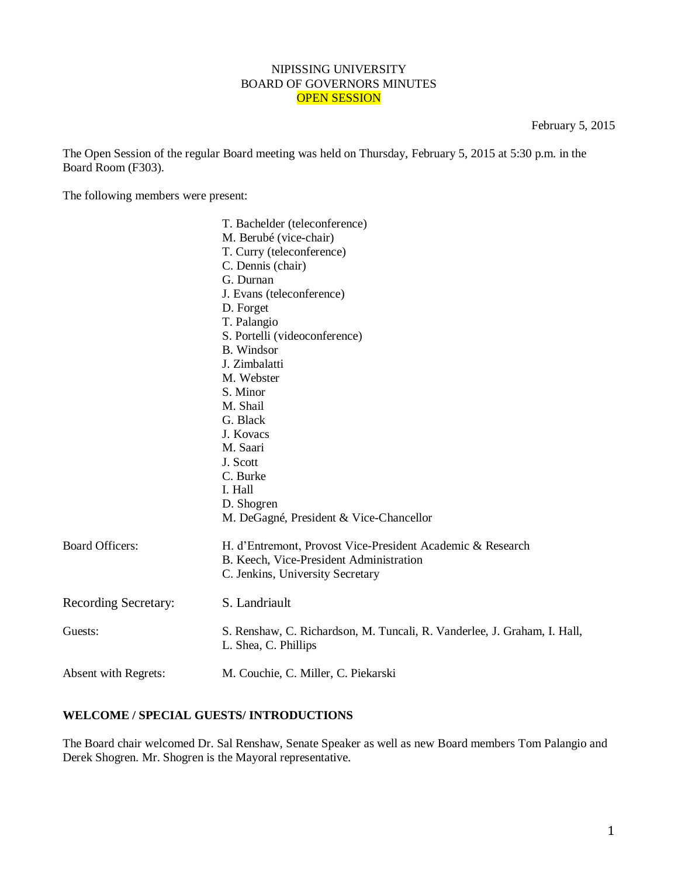### NIPISSING UNIVERSITY BOARD OF GOVERNORS MINUTES OPEN SESSION

February 5, 2015

The Open Session of the regular Board meeting was held on Thursday, February 5, 2015 at 5:30 p.m. in the Board Room (F303).

The following members were present:

|                        | T. Bachelder (teleconference)                                                                    |
|------------------------|--------------------------------------------------------------------------------------------------|
|                        | M. Berubé (vice-chair)                                                                           |
|                        | T. Curry (teleconference)                                                                        |
|                        | C. Dennis (chair)                                                                                |
|                        | G. Durnan                                                                                        |
|                        | J. Evans (teleconference)                                                                        |
|                        | D. Forget                                                                                        |
|                        | T. Palangio                                                                                      |
|                        | S. Portelli (videoconference)                                                                    |
|                        | <b>B.</b> Windsor                                                                                |
|                        | J. Zimbalatti                                                                                    |
|                        | M. Webster                                                                                       |
|                        | S. Minor                                                                                         |
|                        | M. Shail                                                                                         |
|                        | G. Black                                                                                         |
|                        | J. Kovacs                                                                                        |
|                        | M. Saari                                                                                         |
|                        | J. Scott                                                                                         |
|                        | C. Burke                                                                                         |
|                        | I. Hall                                                                                          |
|                        | D. Shogren                                                                                       |
|                        | M. DeGagné, President & Vice-Chancellor                                                          |
| <b>Board Officers:</b> | H. d'Entremont, Provost Vice-President Academic & Research                                       |
|                        | B. Keech, Vice-President Administration                                                          |
|                        | C. Jenkins, University Secretary                                                                 |
| Recording Secretary:   | S. Landriault                                                                                    |
| Guests:                | S. Renshaw, C. Richardson, M. Tuncali, R. Vanderlee, J. Graham, I. Hall,<br>L. Shea, C. Phillips |
| Absent with Regrets:   | M. Couchie, C. Miller, C. Piekarski                                                              |

# **WELCOME / SPECIAL GUESTS/ INTRODUCTIONS**

The Board chair welcomed Dr. Sal Renshaw, Senate Speaker as well as new Board members Tom Palangio and Derek Shogren. Mr. Shogren is the Mayoral representative.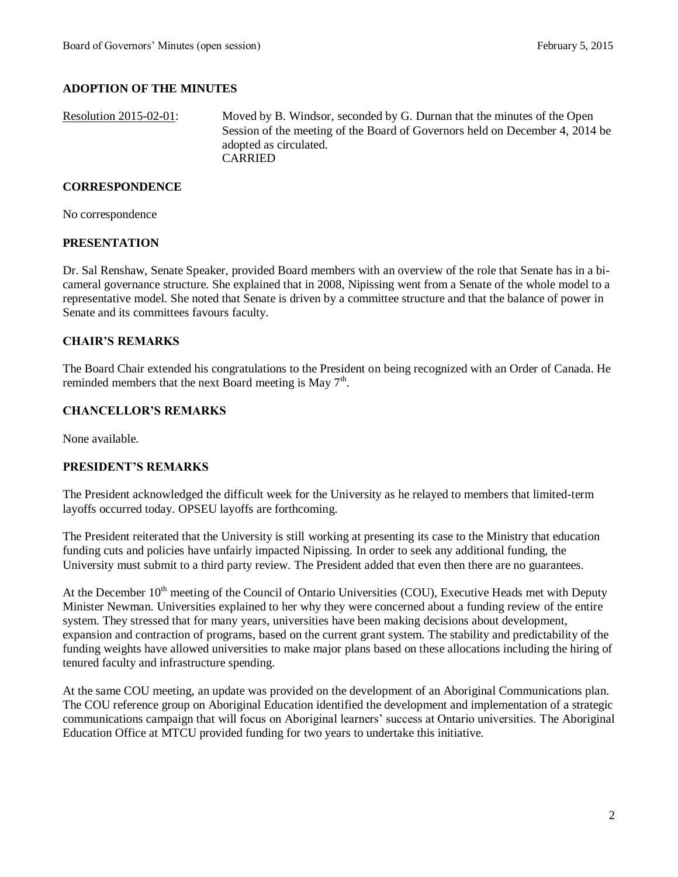# **ADOPTION OF THE MINUTES**

Resolution 2015-02-01: Moved by B. Windsor, seconded by G. Durnan that the minutes of the Open Session of the meeting of the Board of Governors held on December 4, 2014 be adopted as circulated. CARRIED

#### **CORRESPONDENCE**

No correspondence

#### **PRESENTATION**

Dr. Sal Renshaw, Senate Speaker, provided Board members with an overview of the role that Senate has in a bicameral governance structure. She explained that in 2008, Nipissing went from a Senate of the whole model to a representative model. She noted that Senate is driven by a committee structure and that the balance of power in Senate and its committees favours faculty.

#### **CHAIR'S REMARKS**

The Board Chair extended his congratulations to the President on being recognized with an Order of Canada. He reminded members that the next Board meeting is May  $7<sup>th</sup>$ .

### **CHANCELLOR'S REMARKS**

None available.

### **PRESIDENT'S REMARKS**

The President acknowledged the difficult week for the University as he relayed to members that limited-term layoffs occurred today. OPSEU layoffs are forthcoming.

The President reiterated that the University is still working at presenting its case to the Ministry that education funding cuts and policies have unfairly impacted Nipissing. In order to seek any additional funding, the University must submit to a third party review. The President added that even then there are no guarantees.

At the December 10<sup>th</sup> meeting of the Council of Ontario Universities (COU), Executive Heads met with Deputy Minister Newman. Universities explained to her why they were concerned about a funding review of the entire system. They stressed that for many years, universities have been making decisions about development, expansion and contraction of programs, based on the current grant system. The stability and predictability of the funding weights have allowed universities to make major plans based on these allocations including the hiring of tenured faculty and infrastructure spending.

At the same COU meeting, an update was provided on the development of an Aboriginal Communications plan. The COU reference group on Aboriginal Education identified the development and implementation of a strategic communications campaign that will focus on Aboriginal learners' success at Ontario universities. The Aboriginal Education Office at MTCU provided funding for two years to undertake this initiative.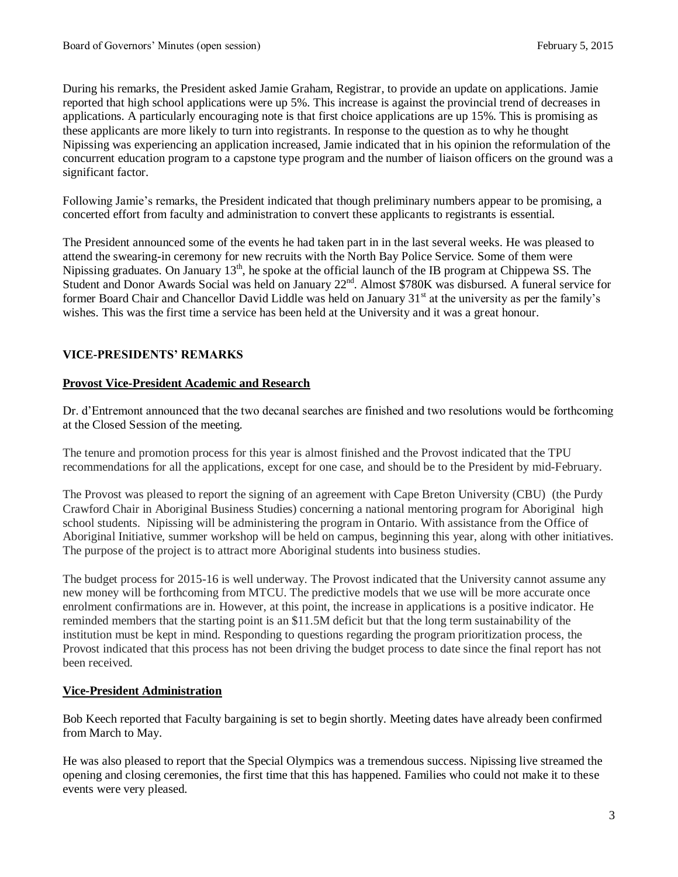During his remarks, the President asked Jamie Graham, Registrar, to provide an update on applications. Jamie reported that high school applications were up 5%. This increase is against the provincial trend of decreases in applications. A particularly encouraging note is that first choice applications are up 15%. This is promising as these applicants are more likely to turn into registrants. In response to the question as to why he thought Nipissing was experiencing an application increased, Jamie indicated that in his opinion the reformulation of the concurrent education program to a capstone type program and the number of liaison officers on the ground was a significant factor.

Following Jamie's remarks, the President indicated that though preliminary numbers appear to be promising, a concerted effort from faculty and administration to convert these applicants to registrants is essential.

The President announced some of the events he had taken part in in the last several weeks. He was pleased to attend the swearing-in ceremony for new recruits with the North Bay Police Service. Some of them were Nipissing graduates. On January 13<sup>th</sup>, he spoke at the official launch of the IB program at Chippewa SS. The Student and Donor Awards Social was held on January 22<sup>nd</sup>. Almost \$780K was disbursed. A funeral service for former Board Chair and Chancellor David Liddle was held on January 31<sup>st</sup> at the university as per the family's wishes. This was the first time a service has been held at the University and it was a great honour.

# **VICE-PRESIDENTS' REMARKS**

### **Provost Vice-President Academic and Research**

Dr. d'Entremont announced that the two decanal searches are finished and two resolutions would be forthcoming at the Closed Session of the meeting.

The tenure and promotion process for this year is almost finished and the Provost indicated that the TPU recommendations for all the applications, except for one case, and should be to the President by mid-February.

The Provost was pleased to report the signing of an agreement with Cape Breton University (CBU) (the Purdy Crawford Chair in Aboriginal Business Studies) concerning a national mentoring program for Aboriginal high school students. Nipissing will be administering the program in Ontario. With assistance from the Office of Aboriginal Initiative, summer workshop will be held on campus, beginning this year, along with other initiatives. The purpose of the project is to attract more Aboriginal students into business studies.

The budget process for 2015-16 is well underway. The Provost indicated that the University cannot assume any new money will be forthcoming from MTCU. The predictive models that we use will be more accurate once enrolment confirmations are in. However, at this point, the increase in applications is a positive indicator. He reminded members that the starting point is an \$11.5M deficit but that the long term sustainability of the institution must be kept in mind. Responding to questions regarding the program prioritization process, the Provost indicated that this process has not been driving the budget process to date since the final report has not been received.

# **Vice-President Administration**

Bob Keech reported that Faculty bargaining is set to begin shortly. Meeting dates have already been confirmed from March to May.

He was also pleased to report that the Special Olympics was a tremendous success. Nipissing live streamed the opening and closing ceremonies, the first time that this has happened. Families who could not make it to these events were very pleased.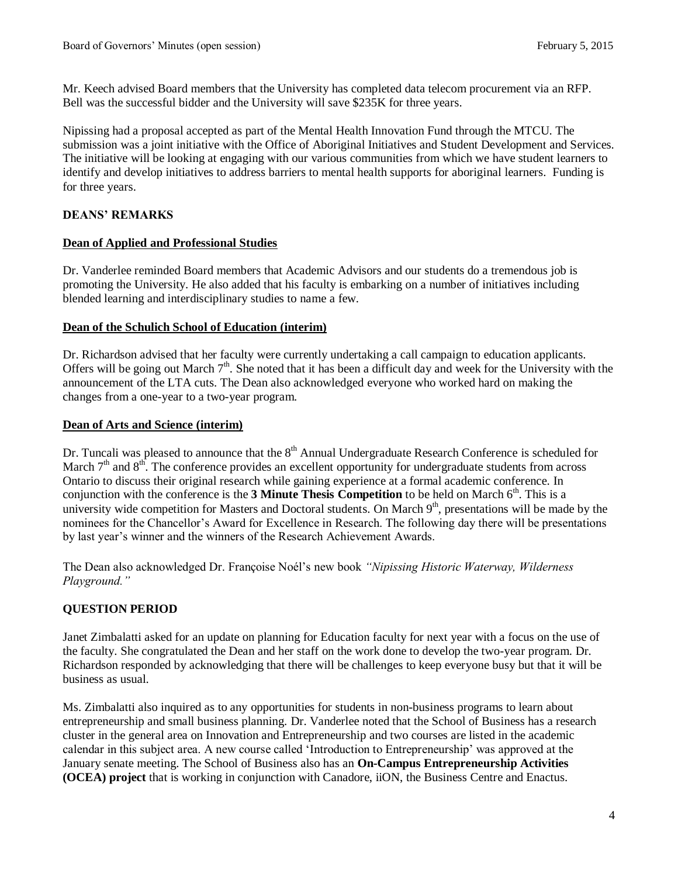Mr. Keech advised Board members that the University has completed data telecom procurement via an RFP. Bell was the successful bidder and the University will save \$235K for three years.

Nipissing had a proposal accepted as part of the Mental Health Innovation Fund through the MTCU. The submission was a joint initiative with the Office of Aboriginal Initiatives and Student Development and Services. The initiative will be looking at engaging with our various communities from which we have student learners to identify and develop initiatives to address barriers to mental health supports for aboriginal learners. Funding is for three years.

# **DEANS' REMARKS**

### **Dean of Applied and Professional Studies**

Dr. Vanderlee reminded Board members that Academic Advisors and our students do a tremendous job is promoting the University. He also added that his faculty is embarking on a number of initiatives including blended learning and interdisciplinary studies to name a few.

### **Dean of the Schulich School of Education (interim)**

Dr. Richardson advised that her faculty were currently undertaking a call campaign to education applicants. Offers will be going out March  $7<sup>th</sup>$ . She noted that it has been a difficult day and week for the University with the announcement of the LTA cuts. The Dean also acknowledged everyone who worked hard on making the changes from a one-year to a two-year program.

### **Dean of Arts and Science (interim)**

Dr. Tuncali was pleased to announce that the 8<sup>th</sup> Annual Undergraduate Research Conference is scheduled for March  $7<sup>th</sup>$  and  $8<sup>th</sup>$ . The conference provides an excellent opportunity for undergraduate students from across Ontario to discuss their original research while gaining experience at a formal academic conference. In conjunction with the conference is the **3 Minute Thesis Competition** to be held on March  $6<sup>th</sup>$ . This is a university wide competition for Masters and Doctoral students. On March  $9<sup>th</sup>$ , presentations will be made by the nominees for the Chancellor's Award for Excellence in Research. The following day there will be presentations by last year's winner and the winners of the Research Achievement Awards.

The Dean also acknowledged Dr. Françoise Noél's new book *"Nipissing Historic Waterway, Wilderness Playground."*

# **QUESTION PERIOD**

Janet Zimbalatti asked for an update on planning for Education faculty for next year with a focus on the use of the faculty. She congratulated the Dean and her staff on the work done to develop the two-year program. Dr. Richardson responded by acknowledging that there will be challenges to keep everyone busy but that it will be business as usual.

Ms. Zimbalatti also inquired as to any opportunities for students in non-business programs to learn about entrepreneurship and small business planning. Dr. Vanderlee noted that the School of Business has a research cluster in the general area on Innovation and Entrepreneurship and two courses are listed in the academic calendar in this subject area. A new course called 'Introduction to Entrepreneurship' was approved at the January senate meeting. The School of Business also has an **On-Campus Entrepreneurship Activities (OCEA) project** that is working in conjunction with Canadore, iiON, the Business Centre and Enactus.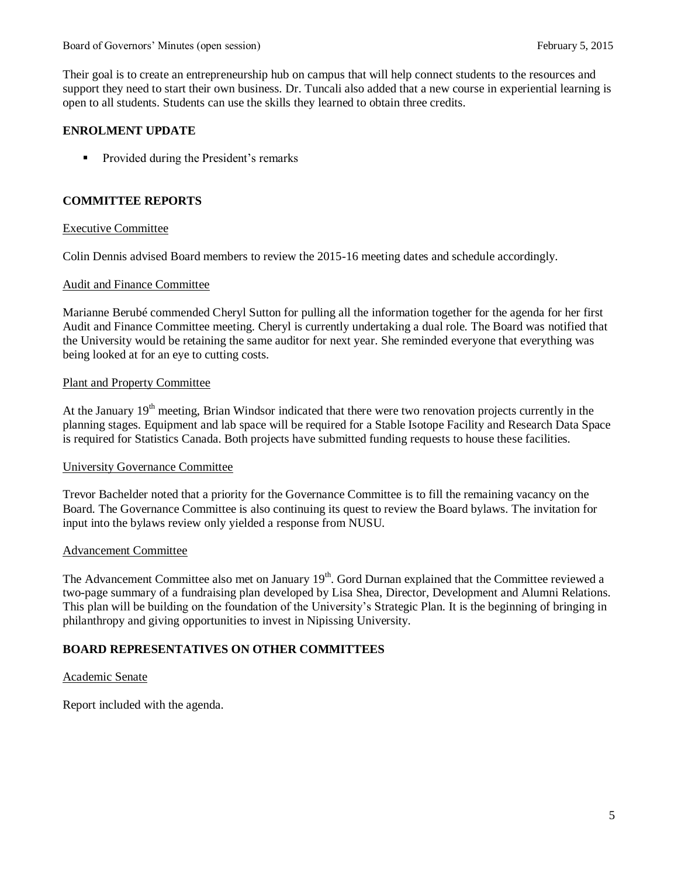Their goal is to create an entrepreneurship hub on campus that will help connect students to the resources and support they need to start their own business. Dr. Tuncali also added that a new course in experiential learning is open to all students. Students can use the skills they learned to obtain three credits.

### **ENROLMENT UPDATE**

**Provided during the President's remarks** 

### **COMMITTEE REPORTS**

### Executive Committee

Colin Dennis advised Board members to review the 2015-16 meeting dates and schedule accordingly.

#### Audit and Finance Committee

Marianne Berubé commended Cheryl Sutton for pulling all the information together for the agenda for her first Audit and Finance Committee meeting. Cheryl is currently undertaking a dual role. The Board was notified that the University would be retaining the same auditor for next year. She reminded everyone that everything was being looked at for an eye to cutting costs.

#### Plant and Property Committee

At the January  $19<sup>th</sup>$  meeting, Brian Windsor indicated that there were two renovation projects currently in the planning stages. Equipment and lab space will be required for a Stable Isotope Facility and Research Data Space is required for Statistics Canada. Both projects have submitted funding requests to house these facilities.

#### University Governance Committee

Trevor Bachelder noted that a priority for the Governance Committee is to fill the remaining vacancy on the Board. The Governance Committee is also continuing its quest to review the Board bylaws. The invitation for input into the bylaws review only yielded a response from NUSU.

### Advancement Committee

The Advancement Committee also met on January  $19<sup>th</sup>$ . Gord Durnan explained that the Committee reviewed a two-page summary of a fundraising plan developed by Lisa Shea, Director, Development and Alumni Relations. This plan will be building on the foundation of the University's Strategic Plan. It is the beginning of bringing in philanthropy and giving opportunities to invest in Nipissing University.

# **BOARD REPRESENTATIVES ON OTHER COMMITTEES**

#### Academic Senate

Report included with the agenda.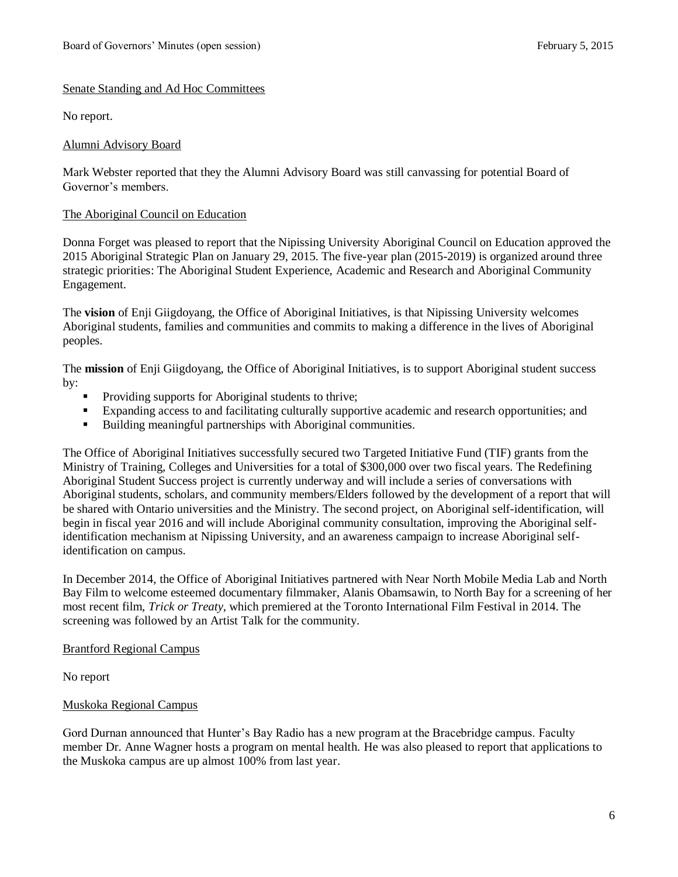# Senate Standing and Ad Hoc Committees

No report.

### Alumni Advisory Board

Mark Webster reported that they the Alumni Advisory Board was still canvassing for potential Board of Governor's members.

### The Aboriginal Council on Education

Donna Forget was pleased to report that the Nipissing University Aboriginal Council on Education approved the 2015 Aboriginal Strategic Plan on January 29, 2015. The five-year plan (2015-2019) is organized around three strategic priorities: The Aboriginal Student Experience, Academic and Research and Aboriginal Community Engagement.

The **vision** of Enji Giigdoyang, the Office of Aboriginal Initiatives, is that Nipissing University welcomes Aboriginal students, families and communities and commits to making a difference in the lives of Aboriginal peoples.

The **mission** of Enji Giigdoyang, the Office of Aboriginal Initiatives, is to support Aboriginal student success by:

- **Providing supports for Aboriginal students to thrive;**
- Expanding access to and facilitating culturally supportive academic and research opportunities; and
- Building meaningful partnerships with Aboriginal communities.

The Office of Aboriginal Initiatives successfully secured two Targeted Initiative Fund (TIF) grants from the Ministry of Training, Colleges and Universities for a total of \$300,000 over two fiscal years. The Redefining Aboriginal Student Success project is currently underway and will include a series of conversations with Aboriginal students, scholars, and community members/Elders followed by the development of a report that will be shared with Ontario universities and the Ministry. The second project, on Aboriginal self-identification, will begin in fiscal year 2016 and will include Aboriginal community consultation, improving the Aboriginal selfidentification mechanism at Nipissing University, and an awareness campaign to increase Aboriginal selfidentification on campus.

In December 2014, the Office of Aboriginal Initiatives partnered with Near North Mobile Media Lab and North Bay Film to welcome esteemed documentary filmmaker, Alanis Obamsawin, to North Bay for a screening of her most recent film, *Trick or Treaty*, which premiered at the Toronto International Film Festival in 2014. The screening was followed by an Artist Talk for the community.

### Brantford Regional Campus

No report

# Muskoka Regional Campus

Gord Durnan announced that Hunter's Bay Radio has a new program at the Bracebridge campus. Faculty member Dr. Anne Wagner hosts a program on mental health. He was also pleased to report that applications to the Muskoka campus are up almost 100% from last year.